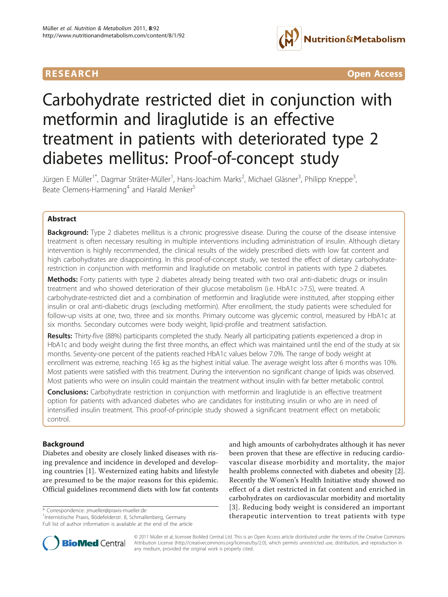

**RESEARCH CONTROL** CONTROL CONTROL CONTROL CONTROL CONTROL CONTROL CONTROL CONTROL CONTROL CONTROL CONTROL CONTROL CONTROL CONTROL CONTROL CONTROL CONTROL CONTROL CONTROL CONTROL CONTROL CONTROL CONTROL CONTROL CONTROL CON

# Carbohydrate restricted diet in conjunction with metformin and liraglutide is an effective treatment in patients with deteriorated type 2 diabetes mellitus: Proof-of-concept study

Jürgen E Müller<sup>1\*</sup>, Dagmar Sträter-Müller<sup>1</sup>, Hans-Joachim Marks<sup>2</sup>, Michael Gläsner<sup>3</sup>, Philipp Kneppe<sup>3</sup> , Beate Clemens-Harmening<sup>4</sup> and Harald Menker<sup>5</sup>

# Abstract

Background: Type 2 diabetes mellitus is a chronic progressive disease. During the course of the disease intensive treatment is often necessary resulting in multiple interventions including administration of insulin. Although dietary intervention is highly recommended, the clinical results of the widely prescribed diets with low fat content and high carbohydrates are disappointing. In this proof-of-concept study, we tested the effect of dietary carbohydraterestriction in conjunction with metformin and liraglutide on metabolic control in patients with type 2 diabetes.

Methods: Forty patients with type 2 diabetes already being treated with two oral anti-diabetic drugs or insulin treatment and who showed deterioration of their glucose metabolism (i.e. HbA1c >7.5), were treated. A carbohydrate-restricted diet and a combination of metformin and liraglutide were instituted, after stopping either insulin or oral anti-diabetic drugs (excluding metformin). After enrollment, the study patients were scheduled for follow-up visits at one, two, three and six months. Primary outcome was glycemic control, measured by HbA1c at six months. Secondary outcomes were body weight, lipid-profile and treatment satisfaction.

Results: Thirty-five (88%) participants completed the study. Nearly all participating patients experienced a drop in HbA1c and body weight during the first three months, an effect which was maintained until the end of the study at six months. Seventy-one percent of the patients reached HbA1c values below 7.0%. The range of body weight at enrollment was extreme, reaching 165 kg as the highest initial value. The average weight loss after 6 months was 10%. Most patients were satisfied with this treatment. During the intervention no significant change of lipids was observed. Most patients who were on insulin could maintain the treatment without insulin with far better metabolic control.

**Conclusions:** Carbohydrate restriction in conjunction with metformin and liraglutide is an effective treatment option for patients with advanced diabetes who are candidates for instituting insulin or who are in need of intensified insulin treatment. This proof-of-principle study showed a significant treatment effect on metabolic control.

# Background

Diabetes and obesity are closely linked diseases with rising prevalence and incidence in developed and developing countries [\[1](#page-7-0)]. Westernized eating habits and lifestyle are presumed to be the major reasons for this epidemic. Official guidelines recommend diets with low fat contents

<sup>1</sup>Internistische Praxis, Bödefelderstr. 8, Schmallenberg, Germany Full list of author information is available at the end of the article

and high amounts of carbohydrates although it has never been proven that these are effective in reducing cardiovascular disease morbidity and mortality, the major health problems connected with diabetes and obesity [\[2](#page-7-0)]. Recently the Women's Health Initiative study showed no effect of a diet restricted in fat content and enriched in carbohydrates on cardiovascular morbidity and mortality [[3](#page-7-0)]. Reducing body weight is considered an important torrespondence: [jmueller@praxis-mueller.de](mailto:jmueller@praxis-mueller.de)<br>
11. Intervention to treat patients with type \* differention to treat patients with type



© 2011 Müller et al; licensee BioMed Central Ltd. This is an Open Access article distributed under the terms of the Creative Commons Attribution License [\(http://creativecommons.org/licenses/by/2.0](http://creativecommons.org/licenses/by/2.0)), which permits unrestricted use, distribution, and reproduction in any medium, provided the original work is properly cited.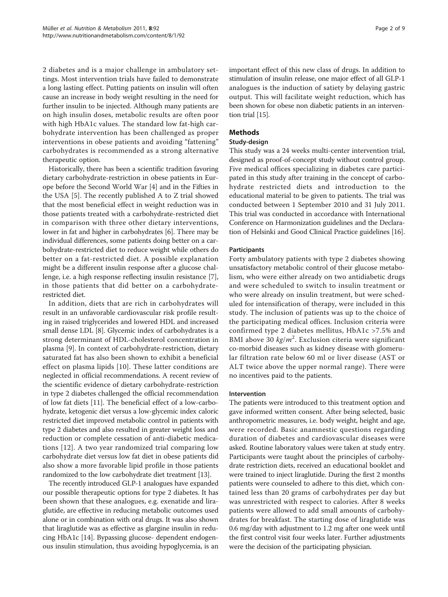2 diabetes and is a major challenge in ambulatory settings. Most intervention trials have failed to demonstrate a long lasting effect. Putting patients on insulin will often cause an increase in body weight resulting in the need for further insulin to be injected. Although many patients are on high insulin doses, metabolic results are often poor with high HbA1c values. The standard low fat-high carbohydrate intervention has been challenged as proper interventions in obese patients and avoiding "fattening" carbohydrates is recommended as a strong alternative therapeutic option.

Historically, there has been a scientific tradition favoring dietary carbohydrate-restriction in obese patients in Europe before the Second World War [[4](#page-7-0)] and in the Fifties in the USA [\[5](#page-7-0)]. The recently published A to Z trial showed that the most beneficial effect in weight reduction was in those patients treated with a carbohydrate-restricted diet in comparison with three other dietary interventions, lower in fat and higher in carbohydrates [[6](#page-7-0)]. There may be individual differences, some patients doing better on a carbohydrate-restricted diet to reduce weight while others do better on a fat-restricted diet. A possible explanation might be a different insulin response after a glucose challenge, i.e. a high response reflecting insulin resistance [\[7](#page-7-0)], in those patients that did better on a carbohydraterestricted diet.

In addition, diets that are rich in carbohydrates will result in an unfavorable cardiovascular risk profile resulting in raised triglycerides and lowered HDL and increased small dense LDL [\[8\]](#page-7-0). Glycemic index of carbohydrates is a strong determinant of HDL-cholesterol concentration in plasma [\[9\]](#page-7-0). In context of carbohydrate-restriction, dietary saturated fat has also been shown to exhibit a beneficial effect on plasma lipids [\[10](#page-7-0)]. These latter conditions are neglected in official recommendations. A recent review of the scientific evidence of dietary carbohydrate-restriction in type 2 diabetes challenged the official recommendation of low fat diets [[11\]](#page-7-0). The beneficial effect of a low-carbohydrate, ketogenic diet versus a low-glycemic index caloric restricted diet improved metabolic control in patients with type 2 diabetes and also resulted in greater weight loss and reduction or complete cessation of anti-diabetic medications [[12](#page-8-0)]. A two year randomized trial comparing low carbohydrate diet versus low fat diet in obese patients did also show a more favorable lipid profile in those patients randomized to the low carbohydrate diet treatment [\[13\]](#page-8-0).

The recently introduced GLP-1 analogues have expanded our possible therapeutic options for type 2 diabetes. It has been shown that these analogues, e.g. exenatide and liraglutide, are effective in reducing metabolic outcomes used alone or in combination with oral drugs. It was also shown that liraglutide was as effective as glargine insulin in reducing HbA1c [\[14\]](#page-8-0). Bypassing glucose- dependent endogenous insulin stimulation, thus avoiding hypoglycemia, is an important effect of this new class of drugs. In addition to stimulation of insulin release, one major effect of all GLP-1 analogues is the induction of satiety by delaying gastric output. This will facilitate weight reduction, which has been shown for obese non diabetic patients in an intervention trial [\[15\]](#page-8-0).

# Methods

#### Study-design

This study was a 24 weeks multi-center intervention trial, designed as proof-of-concept study without control group. Five medical offices specializing in diabetes care participated in this study after training in the concept of carbohydrate restricted diets and introduction to the educational material to be given to patients. The trial was conducted between 1 September 2010 and 31 July 2011. This trial was conducted in accordance with International Conference on Harmonization guidelines and the Declaration of Helsinki and Good Clinical Practice guidelines [[16](#page-8-0)].

### Participants

Forty ambulatory patients with type 2 diabetes showing unsatisfactory metabolic control of their glucose metabolism, who were either already on two antidiabetic drugs and were scheduled to switch to insulin treatment or who were already on insulin treatment, but were scheduled for intensification of therapy, were included in this study. The inclusion of patients was up to the choice of the participating medical offices. Inclusion criteria were confirmed type 2 diabetes mellitus, HbA1c >7.5% and BMI above 30  $kg/m^2$ . Exclusion citeria were significant co-morbid diseases such as kidney disease with glomeruco-morbid diseases such as kidney disease with glomerular filtration rate below 60 ml or liver disease (AST or ALT twice above the upper normal range). There were no incentives paid to the patients.

#### Intervention

The patients were introduced to this treatment option and gave informed written consent. After being selected, basic anthropometric measures, i.e. body weight, height and age, were recorded. Basic anamnestic questions regarding duration of diabetes and cardiovascular diseases were asked. Routine laboratory values were taken at study entry. Participants were taught about the principles of carbohydrate restriction diets, received an educational booklet and were trained to inject liraglutide. During the first 2 months patients were counseled to adhere to this diet, which contained less than 20 grams of carbohydrates per day but was unrestricted with respect to calories. After 8 weeks patients were allowed to add small amounts of carbohydrates for breakfast. The starting dose of liraglutide was 0.6 mg/day with adjustment to 1.2 mg after one week until the first control visit four weeks later. Further adjustments were the decision of the participating physician.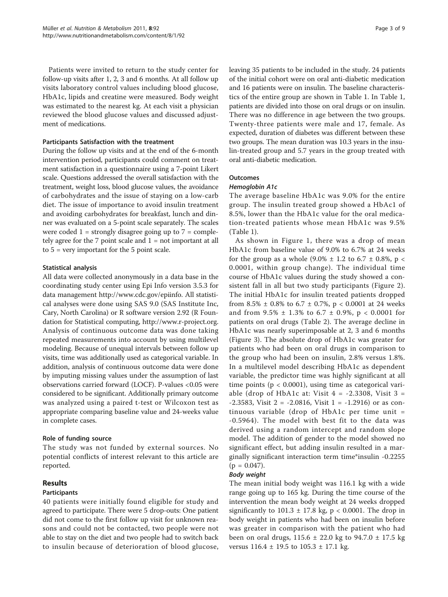Patients were invited to return to the study center for follow-up visits after 1, 2, 3 and 6 months. At all follow up visits laboratory control values including blood glucose, HbA1c, lipids and creatine were measured. Body weight was estimated to the nearest kg. At each visit a physician reviewed the blood glucose values and discussed adjustment of medications.

#### Participants Satisfaction with the treatment

During the follow up visits and at the end of the 6-month intervention period, participants could comment on treatment satisfaction in a questionnaire using a 7-point Likert scale. Questions addressed the overall satisfaction with the treatment, weight loss, blood glucose values, the avoidance of carbohydrates and the issue of staying on a low-carb diet. The issue of importance to avoid insulin treatment and avoiding carbohydrates for breakfast, lunch and dinner was evaluated on a 5-point scale separately. The scales were coded  $1 =$  strongly disagree going up to  $7 =$  completely agree for the  $7$  point scale and  $1 = not$  important at all to  $5 = \text{very important}$  for the  $5$  point scale.

#### Statistical analysis

All data were collected anonymously in a data base in the coordinating study center using Epi Info version 3.5.3 for data management<http://www.cdc.gov/epiinfo>. All statistical analyses were done using SAS 9.0 (SAS Institute Inc, Cary, North Carolina) or R software version 2.92 (R Foundation for Statistical computing,<http://www.r-project.org>. Analysis of continuous outcome data was done taking repeated measurements into account by using multilevel modeling. Because of unequal intervals between follow up visits, time was additionally used as categorical variable. In addition, analysis of continuous outcome data were done by imputing missing values under the assumption of last observations carried forward (LOCF). P-values <0.05 were considered to be significant. Additionally primary outcome was analyzed using a paired t-test or Wilcoxon test as appropriate comparing baseline value and 24-weeks value in complete cases.

#### Role of funding source

The study was not funded by external sources. No potential conflicts of interest relevant to this article are reported.

### Results

#### **Participants**

40 patients were initially found eligible for study and agreed to participate. There were 5 drop-outs: One patient did not come to the first follow up visit for unknown reasons and could not be contacted, two people were not able to stay on the diet and two people had to switch back to insulin because of deterioration of blood glucose, leaving 35 patients to be included in the study. 24 patients of the initial cohort were on oral anti-diabetic medication and 16 patients were on insulin. The baseline characteristics of the entire group are shown in Table [1.](#page-3-0) In Table [1](#page-3-0), patients are divided into those on oral drugs or on insulin. There was no difference in age between the two groups. Twenty-three patients were male and 17, female. As expected, duration of diabetes was different between these two groups. The mean duration was 10.3 years in the insulin-treated group and 5.7 years in the group treated with oral anti-diabetic medication.

### **Outcomes**

#### Hemoglobin A1c

The average baseline HbA1c was 9.0% for the entire group. The insulin treated group showed a HbAc1 of 8.5%, lower than the HbA1c value for the oral medication-treated patients whose mean HbA1c was 9.5% (Table [1](#page-3-0)).

As shown in Figure [1,](#page-3-0) there was a drop of mean HbA1c from baseline value of 9.0% to 6.7% at 24 weeks for the group as a whole  $(9.0\% \pm 1.2 \text{ to } 6.7 \pm 0.8\%, \text{ p} <$ 0.0001, within group change). The individual time course of HbA1c values during the study showed a consistent fall in all but two study participants (Figure [2](#page-4-0)). The initial HbA1c for insulin treated patients dropped from 8.5%  $\pm$  0.8% to 6.7  $\pm$  0.7%, p < 0.0001 at 24 weeks and from 9.5% ± 1.3% to 6.7 ± 0.9%, p < 0.0001 for patients on oral drugs (Table [2](#page-4-0)). The average decline in HbA1c was nearly superimposable at 2, 3 and 6 months (Figure [3](#page-5-0)). The absolute drop of HbA1c was greater for patients who had been on oral drugs in comparison to the group who had been on insulin, 2.8% versus 1.8%. In a multilevel model describing HbA1c as dependent variable, the predictor time was highly significant at all time points ( $p < 0.0001$ ), using time as categorical variable (drop of HbA1c at: Visit  $4 = -2.3308$ , Visit  $3 =$  $-2.3583$ , Visit 2 =  $-2.0816$ , Visit 1 =  $-1.2916$ ) or as continuous variable (drop of HbA1c per time unit = -0.5964). The model with best fit to the data was derived using a random intercept and random slope model. The addition of gender to the model showed no significant effect, but adding insulin resulted in a marginally significant interaction term time\*insulin -0.2255  $(p = 0.047)$ .

### Body weight

The mean initial body weight was 116.1 kg with a wide range going up to 165 kg. During the time course of the intervention the mean body weight at 24 weeks dropped significantly to  $101.3 \pm 17.8$  kg, p < 0.0001. The drop in body weight in patients who had been on insulin before was greater in comparison with the patient who had been on oral drugs, 115.6 ± 22.0 kg to 94.7.0 ± 17.5 kg versus 116.4 ± 19.5 to 105.3 ± 17.1 kg.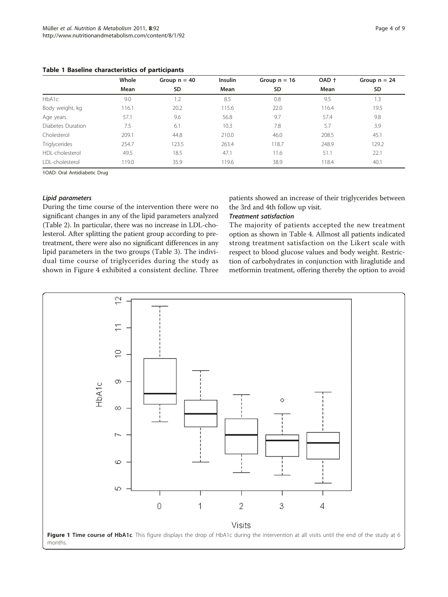<span id="page-3-0"></span>Table 1 Baseline characteristics of participants

|                   | Whole | Group $n = 40$ | Insulin | Group $n = 16$ | OAD + | Group $n = 24$ |
|-------------------|-------|----------------|---------|----------------|-------|----------------|
|                   | Mean  | SD             | Mean    | SD             | Mean  | SD             |
| HbA1c             | 9.0   | 1.2            | 8.5     | 0.8            | 9.5   | 1.3            |
| Body weight, kg   | 116.1 | 20.2           | 115.6   | 22.0           | 116.4 | 19.5           |
| Age years         | 57.1  | 9.6            | 56.8    | 9.7            | 57.4  | 9.8            |
| Diabetes Duration | 7.5   | 6.1            | 10.3    | 7.8            | 5.7   | 3.9            |
| Cholesterol       | 209.1 | 44.8           | 210.0   | 46.0           | 208.5 | 45.1           |
| Triglycerides     | 254.7 | 123.5          | 263.4   | 118.7          | 248.9 | 129.2          |
| HDL-cholesterol   | 49.5  | 18.5           | 47.1    | 11.6           | 51.1  | 22.1           |
| LDL-cholesterol   | 119.0 | 35.9           | 119.6   | 38.9           | 118.4 | 40.1           |

†OAD: Oral Antidiabetic Drug

### Lipid parameters

During the time course of the intervention there were no significant changes in any of the lipid parameters analyzed (Table [2\)](#page-4-0). In particular, there was no increase in LDL-cholesterol. After splitting the patient group according to pretreatment, there were also no significant differences in any lipid parameters in the two groups (Table [3](#page-5-0)). The individual time course of triglycerides during the study as shown in Figure [4](#page-6-0) exhibited a consistent decline. Three

patients showed an increase of their triglycerides between the 3rd and 4th follow up visit.

# Treatment satisfaction

The majority of patients accepted the new treatment option as shown in Table [4](#page-6-0). Allmost all patients indicated strong treatment satisfaction on the Likert scale with respect to blood glucose values and body weight. Restriction of carbohydrates in conjunction with liraglutide and metformin treatment, offering thereby the option to avoid

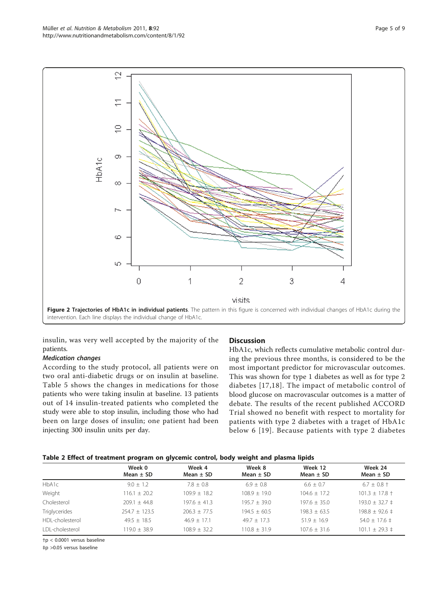<span id="page-4-0"></span>

insulin, was very well accepted by the majority of the patients.

### Medication changes

According to the study protocol, all patients were on two oral anti-diabetic drugs or on insulin at baseline. Table [5](#page-7-0) shows the changes in medications for those patients who were taking insulin at baseline. 13 patients out of 14 insulin-treated patients who completed the study were able to stop insulin, including those who had been on large doses of insulin; one patient had been injecting 300 insulin units per day.

# **Discussion**

HbA1c, which reflects cumulative metabolic control during the previous three months, is considered to be the most important predictor for microvascular outcomes. This was shown for type 1 diabetes as well as for type 2 diabetes [[17,18\]](#page-8-0). The impact of metabolic control of blood glucose on macrovascular outcomes is a matter of debate. The results of the recent published ACCORD Trial showed no benefit with respect to mortality for patients with type 2 diabetes with a traget of HbA1c below 6 [[19](#page-8-0)]. Because patients with type 2 diabetes

# Table 2 Effect of treatment program on glycemic control, body weight and plasma lipids

|                 | Week 0<br>Mean $\pm$ SD | Week 4<br>Mean $\pm$ SD | Week 8<br>Mean $\pm$ SD | Week 12<br>Mean $\pm$ SD | Week 24<br>Mean $\pm$ SD   |
|-----------------|-------------------------|-------------------------|-------------------------|--------------------------|----------------------------|
| HbA1c           | $9.0 + 1.2$             | $7.8 + 0.8$             | $6.9 + 0.8$             | $6.6 + 0.7$              | $6.7 \pm 0.8 \pm 0.8$      |
| Weight          | $116.1 + 20.2$          | $109.9 + 18.2$          | $108.9 + 19.0$          | $104.6 + 17.2$           | $101.3 \pm 17.8 \pm 10.00$ |
| Cholesterol     | $209.1 + 44.8$          | $197.6 + 41.3$          | $195.7 + 39.0$          | $197.6 + 35.0$           | $193.0 \pm 32.7 \pm 1$     |
| Triglycerides   | $254.7 + 123.5$         | $206.3 + 77.5$          | $194.5 + 60.5$          | $198.3 + 63.5$           | $198.8 \pm 92.6 \pm 1$     |
| HDL-cholesterol | $49.5 + 18.5$           | $46.9 + 17.1$           | $49.7 + 17.3$           | $51.9 + 16.9$            | $54.0 \pm 17.6 \pm 1$      |
| LDL-cholesterol | $119.0 + 38.9$          | $108.9 + 32.2$          | $110.8 \pm 31.9$        | $107.6 \pm 31.6$         | $101.1 \pm 29.3 \pm 1$     |

†p < 0.0001 versus baseline

‡p >0.05 versus baseline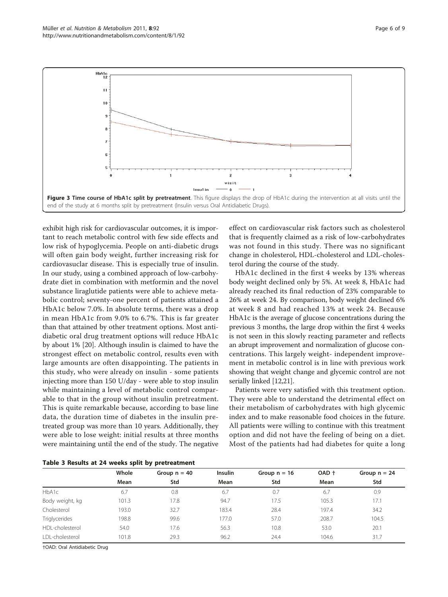<span id="page-5-0"></span>

exhibit high risk for cardiovascular outcomes, it is important to reach metabolic control with few side effects and low risk of hypoglycemia. People on anti-diabetic drugs will often gain body weight, further increasing risk for cardiovasuclar disease. This is especially true of insulin. In our study, using a combined approach of low-carbohydrate diet in combination with metformin and the novel substance liraglutide patients were able to achieve metabolic control; seventy-one percent of patients attained a HbA1c below 7.0%. In absolute terms, there was a drop in mean HbA1c from 9.0% to 6.7%. This is far greater than that attained by other treatment options. Most antidiabetic oral drug treatment options will reduce HbA1c by about 1% [\[20](#page-8-0)]. Although insulin is claimed to have the strongest effect on metabolic control, results even with large amounts are often disappointing. The patients in this study, who were already on insulin - some patients injecting more than 150 U/day - were able to stop insulin while maintaining a level of metabolic control comparable to that in the group without insulin pretreatment. This is quite remarkable because, according to base line data, the duration time of diabetes in the insulin pretreated group was more than 10 years. Additionally, they were able to lose weight: initial results at three months were maintaining until the end of the study. The negative

effect on cardiovascular risk factors such as cholesterol that is frequently claimed as a risk of low-carbohydrates was not found in this study. There was no significant change in cholesterol, HDL-cholesterol and LDL-cholesterol during the course of the study.

HbA1c declined in the first 4 weeks by 13% whereas body weight declined only by 5%. At week 8, HbA1c had already reached its final reduction of 23% comparable to 26% at week 24. By comparison, body weight declined 6% at week 8 and had reached 13% at week 24. Because HbA1c is the average of glucose concentrations during the previous 3 months, the large drop within the first 4 weeks is not seen in this slowly reacting parameter and reflects an abrupt improvement and normalization of glucose concentrations. This largely weight- independent improvement in metabolic control is in line with previous work showing that weight change and glycemic control are not serially linked [\[12,21](#page-8-0)].

Patients were very satisfied with this treatment option. They were able to understand the detrimental effect on their metabolism of carbohydrates with high glycemic index and to make reasonable food choices in the future. All patients were willing to continue with this treatment option and did not have the feeling of being on a diet. Most of the patients had had diabetes for quite a long

|                      | Whole | Group $n = 40$ | <b>Insulin</b> | Group $n = 16$ | OAD + | Group $n = 24$ |
|----------------------|-------|----------------|----------------|----------------|-------|----------------|
|                      | Mean  | Std            | Mean           | Std            | Mean  | Std            |
| HbA1c                | 6.7   | 0.8            | 6.7            | 0.7            | 6.7   | 0.9            |
| Body weight, kg      | 101.3 | 17.8           | 94.7           | 17.5           | 105.3 | 17.1           |
| Cholesterol          | 193.0 | 32.7           | 183.4          | 28.4           | 197.4 | 34.2           |
| <b>Triglycerides</b> | 198.8 | 99.6           | 177.0          | 57.0           | 208.7 | 104.5          |
| HDL-cholesterol      | 54.0  | 17.6           | 56.3           | 10.8           | 53.0  | 20.1           |
| I DI-cholesterol     | 101.8 | 29.3           | 96.2           | 24.4           | 104.6 | 31.7           |
|                      |       |                |                |                |       |                |

Table 3 Results at 24 weeks split by pretreatment

†OAD: Oral Antidiabetic Drug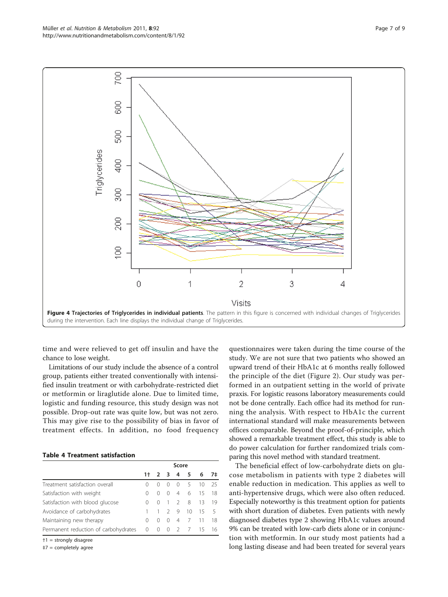<span id="page-6-0"></span>

time and were relieved to get off insulin and have the chance to lose weight.

Limitations of our study include the absence of a control group, patients either treated conventionally with intensified insulin treatment or with carbohydrate-restricted diet or metformin or liraglutide alone. Due to limited time, logistic and funding resource, this study design was not possible. Drop-out rate was quite low, but was not zero. This may give rise to the possibility of bias in favor of treatment effects. In addition, no food frequency

#### Table 4 Treatment satisfaction

|                                      | Score    |            |                |                |                 |    |     |
|--------------------------------------|----------|------------|----------------|----------------|-----------------|----|-----|
|                                      |          |            |                |                | $1 + 2$ 3 4 5 6 |    | 7‡  |
| Treatment satisfaction overall       |          |            |                |                | 5               | 10 | 25  |
| Satisfaction with weight             | 0        | ∩          |                |                | 046             | 15 | -18 |
| Satisfaction with blood glucose      |          | $\bigcirc$ |                | $1 \t2 \t8$    |                 | 13 | 19  |
| Avoidance of carbohydrates           |          |            |                | 29             | 10              | 15 | - 5 |
| Maintaining new therapy              | 0        | ∩          | $\overline{0}$ | $\overline{4}$ | $\overline{7}$  |    | -18 |
| Permanent reduction of carbohydrates | $\Omega$ | $0\quad 0$ |                |                | 2 7 15          |    | -16 |

†1 = strongly disagree

‡7 = completely agree

questionnaires were taken during the time course of the study. We are not sure that two patients who showed an upward trend of their HbA1c at 6 months really followed the principle of the diet (Figure [2\)](#page-4-0). Our study was performed in an outpatient setting in the world of private praxis. For logistic reasons laboratory measurements could not be done centrally. Each office had its method for running the analysis. With respect to HbA1c the current international standard will make measurements between offices comparable. Beyond the proof-of-principle, which showed a remarkable treatment effect, this study is able to do power calculation for further randomized trials comparing this novel method with standard treatment.

The beneficial effect of low-carbohydrate diets on glucose metabolism in patients with type 2 diabetes will enable reduction in medication. This applies as well to anti-hypertensive drugs, which were also often reduced. Especially noteworthy is this treatment option for patients with short duration of diabetes. Even patients with newly diagnosed diabetes type 2 showing HbA1c values around 9% can be treated with low-carb diets alone or in conjunction with metformin. In our study most patients had a long lasting disease and had been treated for several years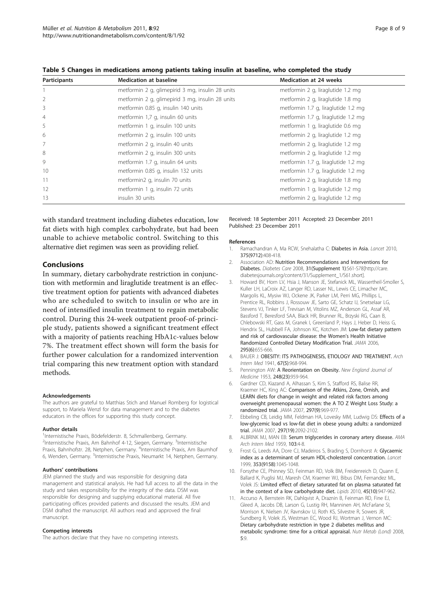| Participants   | <b>Medication at baseline</b>                    | <b>Medication at 24 weeks</b>       |
|----------------|--------------------------------------------------|-------------------------------------|
|                | metformin 2 g, glimepirid 3 mg, insulin 28 units | metformin 2 g, liraglutide 1.2 mg   |
| 2              | metformin 2 g, glimepirid 3 mg, insulin 28 units | metformin 2 g, liraglutide 1.8 mg   |
| 3              | metformin 0.85 g, insulin 140 units              | metformin 1.7 g, liraglutide 1.2 mg |
| $\overline{4}$ | metformin 1,7 g, insulin 60 units                | metformin 1.7 g, liraglutide 1.2 mg |
| 5              | metformin 1 g, insulin 100 units                 | metformin 1 g, liraglutide 0.6 mg   |
| 6              | metformin 2 g, insulin 100 units                 | metformin 2 g, liraglutide 1.2 mg   |
| 7              | metformin 2 g, insulin 40 units                  | metformin 2 g, liraglutide 1.2 mg   |
| 8              | metformin 2 g, insulin 300 units                 | metformin 2 g, liraglutide 1.2 mg   |
| 9              | metformin 1.7 g, insulin 64 units                | metformin 1.7 g, liraglutide 1.2 mg |
| 10             | metformin 0.85 g, insulin 132 units              | metformin 1.7 g, liraglutide 1.2 mg |
| 11             | metformin2 g, insulin 70 units                   | metformin 2 g, liraglutide 1.8 mg   |
| 12             | metformin 1 g, insulin 72 units                  | metformin 1 g, liraglutide 1.2 mg   |
| 13             | insulin 30 units                                 | metformin 2 g, liraglutide 1.2 mg   |

<span id="page-7-0"></span>Table 5 Changes in medications among patients taking insulin at baseline, who completed the study

with standard treatment including diabetes education, low fat diets with high complex carbohydrate, but had been unable to achieve metabolic control. Switching to this alternative diet regimen was seen as providing relief.

#### Conclusions

In summary, dietary carbohydrate restriction in conjunction with metformin and liraglutide treatment is an effective treatment option for patients with advanced diabetes who are scheduled to switch to insulin or who are in need of intensified insulin treatment to regain metabolic control. During this 24-week outpatient proof-of-principle study, patients showed a significant treatment effect with a majority of patients reaching HbA1c-values below 7%. The treatment effect shown will form the basis for further power calculation for a randomized intervention trial comparing this new treatment option with standard methods.

#### Acknowledgements

The authors are grateful to Matthias Stich and Manuel Romberg for logistical support, to Mariela Wenzl for data management and to the diabetes educators in the offices for supporting this study concept.

#### Author details

<sup>1</sup>Internistische Praxis, Bödefelderstr. 8, Schmallenberg, Germany. <sup>2</sup>Internistische Praxis, Am Bahnhof 4-12, Siegen, Germany. <sup>3</sup>Internistische Praxis, Bahnhofstr. 28, Netphen, Germany. <sup>4</sup>Internistische Praxis, Am Baumhof 6, Wenden, Germany. <sup>5</sup>Internistische Praxis, Neumarkt 14, Netphen, Germany.

#### Authors' contributions

JEM planned the study and was responsible for designing data management and statistical analysis. He had full access to all the data in the study and takes responsibility for the integrity of the data. DSM was responsible for designing and supplying educational material. All five participating offices provided patients and discussed the results. JEM and DSM drafted the manuscript. All authors read and approved the final manuscript.

#### Competing interests

The authors declare that they have no competing interests.

Received: 18 September 2011 Accepted: 23 December 2011 Published: 23 December 2011

#### References

- 1. Ramachandran A, Ma RCW, Snehalatha C: [Diabetes in Asia.](http://www.ncbi.nlm.nih.gov/pubmed/19875164?dopt=Abstract) Lancet 2010, 375(9712):408-418.
- 2. Association AD: [Nutrition Recommendations and Interventions for](http://www.ncbi.nlm.nih.gov/pubmed/18165339?dopt=Abstract) [Diabetes.](http://www.ncbi.nlm.nih.gov/pubmed/18165339?dopt=Abstract) Diabetes Care 2008, 31(Supplement 1):S61-S78[\[http://care.](http://care.diabetesjournals.org/content/31/Supplement_1/S61.short) [diabetesjournals.org/content/31/Supplement\\_1/S61.short](http://care.diabetesjournals.org/content/31/Supplement_1/S61.short)].
- 3. Howard BV, Horn LV, Hsia J, Manson JE, Stefanick ML, Wassertheil-Smoller S, Kuller LH, LaCroix AZ, Langer RD, Lasser NL, Lewis CE, Limacher MC, Margolis KL, Mysiw WJ, Ockene JK, Parker LM, Perri MG, Phillips L, Prentice RL, Robbins J, Rossouw JE, Sarto GE, Schatz IJ, Snetselaar LG, Stevens VJ, Tinker LF, Trevisan M, Vitolins MZ, Anderson GL, Assaf AR, Bassford T, Beresford SAA, Black HR, Brunner RL, Brzyski RG, Caan B, Chlebowski RT, Gass M, Granek I, Greenland P, Hays J, Heber D, Heiss G, Hendrix SL, Hubbell FA, Johnson KC, Kotchen JM: [Low-fat dietary pattern](http://www.ncbi.nlm.nih.gov/pubmed/16467234?dopt=Abstract) [and risk of cardiovascular disease: the Women](http://www.ncbi.nlm.nih.gov/pubmed/16467234?dopt=Abstract)'s Health Initiative [Randomized Controlled Dietary Modification Trial.](http://www.ncbi.nlm.nih.gov/pubmed/16467234?dopt=Abstract) JAMA 2006, 295(6):655-666.
- 4. BAUER J: OBESITY: ITS PATHOGENESIS, ETIOLOGY AND TREATMENT. Arch Intern Med 1941, 67(5):968-994.
- 5. Pennington AW: [A Reorientation on Obesity.](http://www.ncbi.nlm.nih.gov/pubmed/13046654?dopt=Abstract) New England Journal of Medicine 1953, 248(23):959-964.
- 6. Gardner CD, Kiazand A, Alhassan S, Kim S, Stafford RS, Balise RR, Kraemer HC, King AC: [Comparison of the Atkins, Zone, Ornish, and](http://www.ncbi.nlm.nih.gov/pubmed/17341711?dopt=Abstract) [LEARN diets for change in weight and related risk factors among](http://www.ncbi.nlm.nih.gov/pubmed/17341711?dopt=Abstract) [overweight premenopausal women: the A TO Z Weight Loss Study: a](http://www.ncbi.nlm.nih.gov/pubmed/17341711?dopt=Abstract) [randomized trial.](http://www.ncbi.nlm.nih.gov/pubmed/17341711?dopt=Abstract) JAMA 2007, 297(9):969-977.
- 7. Ebbeling CB, Leidig MM, Feldman HA, Lovesky MM, Ludwig DS: [Effects of a](http://www.ncbi.nlm.nih.gov/pubmed/17507345?dopt=Abstract) [low-glycemic load vs low-fat diet in obese young adults: a randomized](http://www.ncbi.nlm.nih.gov/pubmed/17507345?dopt=Abstract) [trial.](http://www.ncbi.nlm.nih.gov/pubmed/17507345?dopt=Abstract) JAMA 2007, 297(19):2092-2102.
- 8. ALBRINK MJ, MAN EB: [Serum triglycerides in coronary artery disease.](http://www.ncbi.nlm.nih.gov/pubmed/13605296?dopt=Abstract) AMA Arch Intern Med 1959, 103:4-8.
- 9. Frost G, Leeds AA, Dore CJ, Madeiros S, Brading S, Dornhorst A: [Glycaemic](http://www.ncbi.nlm.nih.gov/pubmed/10199351?dopt=Abstract) [index as a determinant of serum HDL-cholesterol concentration.](http://www.ncbi.nlm.nih.gov/pubmed/10199351?dopt=Abstract) Lancet 1999, 353(9158):1045-1048.
- 10. Forsythe CE, Phinney SD, Feinman RD, Volk BM, Freidenreich D, Quann E, Ballard K, Puglisi MJ, Maresh CM, Kraemer WJ, Bibus DM, Fernandez ML, Volek JS: [Limited effect of dietary saturated fat on plasma saturated fat](http://www.ncbi.nlm.nih.gov/pubmed/20820932?dopt=Abstract) [in the context of a low carbohydrate diet.](http://www.ncbi.nlm.nih.gov/pubmed/20820932?dopt=Abstract) Lipids 2010, 45(10):947-962.
- 11. Accurso A, Bernstein RK, Dahlqvist A, Draznin B, Feinman RD, Fine EJ, Gleed A, Jacobs DB, Larson G, Lustig RH, Manninen AH, McFarlane SI, Morrison K, Nielsen JV, Ravnskov U, Roth KS, Silvestre R, Sowers JR, Sundberg R, Volek JS, Westman EC, Wood RJ, Wortman J, Vernon MC: Dietary carbohydrate restriction in type 2 diabetes mellitus and metabolic syndrome: time for a critical appraisal. Nutr Metab (Lond) 2008, 5:9.